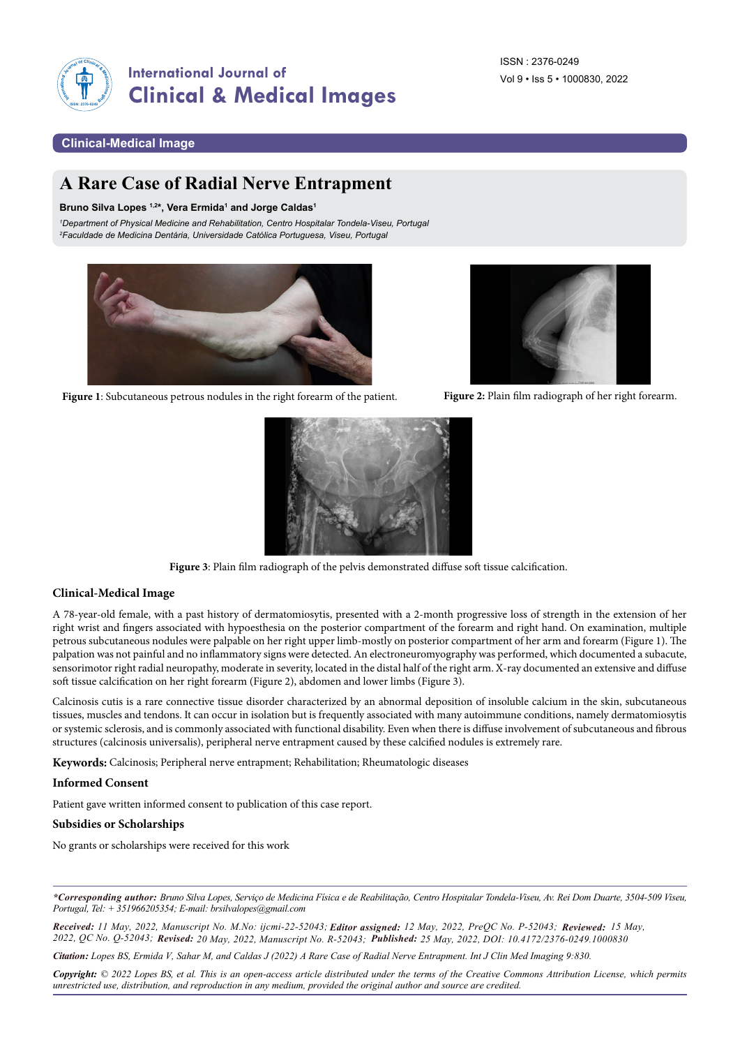

# **International Journal of Clinical & Medical Images**

## **Clinical-Medical Image**

## **A Rare Case of Radial Nerve Entrapment**

#### Bruno Silva Lopes<sup>1,2\*</sup>, Vera Ermida<sup>1</sup> and Jorge Caldas<sup>1</sup>

*1Department of Physical Medicine and Rehabilitation, Centro Hospitalar Tondela-Viseu, Portugal 2 Faculdade de Medicina Dentária, Universidade Católica Portuguesa, Viseu, Portugal*



**Figure 1**: Subcutaneous petrous nodules in the right forearm of the patient. **Figure 2:** Plain film radiograph of her right forearm.





**Figure 3**: Plain film radiograph of the pelvis demonstrated diffuse soft tissue calcification.

### **Clinical-Medical Image**

A 78-year-old female, with a past history of dermatomiosytis, presented with a 2-month progressive loss of strength in the extension of her right wrist and fingers associated with hypoesthesia on the posterior compartment of the forearm and right hand. On examination, multiple petrous subcutaneous nodules were palpable on her right upper limb-mostly on posterior compartment of her arm and forearm (Figure 1). The palpation was not painful and no inflammatory signs were detected. An electroneuromyography was performed, which documented a subacute, sensorimotor right radial neuropathy, moderate in severity, located in the distal half of the right arm. X-ray documented an extensive and diffuse soft tissue calcification on her right forearm (Figure 2), abdomen and lower limbs (Figure 3).

Calcinosis cutis is a rare connective tissue disorder characterized by an abnormal deposition of insoluble calcium in the skin, subcutaneous tissues, muscles and tendons. It can occur in isolation but is frequently associated with many autoimmune conditions, namely dermatomiosytis or systemic sclerosis, and is commonly associated with functional disability. Even when there is diffuse involvement of subcutaneous and fibrous structures (calcinosis universalis), peripheral nerve entrapment caused by these calcified nodules is extremely rare.

**Keywords:** Calcinosis; Peripheral nerve entrapment; Rehabilitation; Rheumatologic diseases

#### **Informed Consent**

Patient gave written informed consent to publication of this case report.

#### **Subsidies or Scholarships**

No grants or scholarships were received for this work

*\*Corresponding author: Bruno Silva Lopes, Serviço de Medicina Física e de Reabilitação, Centro Hospitalar Tondela-Viseu, Av. Rei Dom Duarte, 3504-509 Viseu, Portugal, Tel: + 351966205354; E-mail: [brsilvalopes@gmail.com](mailto:brsilvalopes@gmail.com)* 

*Received: 11 May, 2022, Manuscript No. M.No: ijcmi-22-52043; Editor assigned: 12 May, 2022, PreQC No. P-52043; Reviewed: 15 May, 2022, QC No. Q-52043; Revised: 20 May, 2022, Manuscript No. R-52043; Published: 25 May, 2022, DOI: 10.4172/2376-0249.1000830*

*Citation: Lopes BS, Ermida V, Sahar M, and Caldas J (2022) A Rare Case of Radial Nerve Entrapment. Int J Clin Med Imaging 9:830.*

*Copyright: © 2022 Lopes BS, et al. This is an open-access article distributed under the terms of the Creative Commons Attribution License, which permits unrestricted use, distribution, and reproduction in any medium, provided the original author and source are credited.*